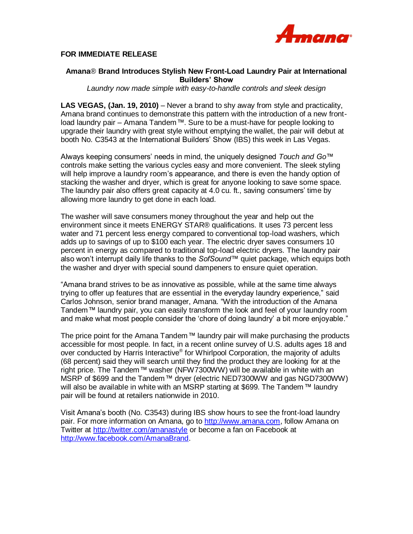

## **FOR IMMEDIATE RELEASE**

## **Amana**® **Brand Introduces Stylish New Front-Load Laundry Pair at International Builders' Show**

*Laundry now made simple with easy-to-handle controls and sleek design*

**LAS VEGAS, (Jan. 19, 2010)** – Never a brand to shy away from style and practicality, Amana brand continues to demonstrate this pattern with the introduction of a new frontload laundry pair – Amana Tandem*™*. Sure to be a must-have for people looking to upgrade their laundry with great style without emptying the wallet, the pair will debut at booth No. C3543 at the International Builders" Show (IBS) this week in Las Vegas.

Always keeping consumers" needs in mind, the uniquely designed *Touch and Go™* controls make setting the various cycles easy and more convenient. The sleek styling will help improve a laundry room"s appearance, and there is even the handy option of stacking the washer and dryer, which is great for anyone looking to save some space. The laundry pair also offers great capacity at 4.0 cu. ft., saving consumers" time by allowing more laundry to get done in each load.

The washer will save consumers money throughout the year and help out the environment since it meets ENERGY STAR® qualifications. It uses 73 percent less water and 71 percent less energy compared to conventional top-load washers, which adds up to savings of up to \$100 each year. The electric dryer saves consumers 10 percent in energy as compared to traditional top-load electric dryers. The laundry pair also won"t interrupt daily life thanks to the *SofSound™* quiet package, which equips both the washer and dryer with special sound dampeners to ensure quiet operation.

"Amana brand strives to be as innovative as possible, while at the same time always trying to offer up features that are essential in the everyday laundry experience," said Carlos Johnson, senior brand manager, Amana. "With the introduction of the Amana Tandem*™* laundry pair, you can easily transform the look and feel of your laundry room and make what most people consider the "chore of doing laundry" a bit more enjoyable."

The price point for the Amana Tandem*™* laundry pair will make purchasing the products accessible for most people. In fact, in a recent online survey of U.S. adults ages 18 and over conducted by Harris Interactive® for Whirlpool Corporation, the majority of adults (68 percent) said they will search until they find the product they are looking for at the right price. The Tandem*™* washer (NFW7300WW) will be available in white with an MSRP of \$699 and the Tandem*™* dryer (electric NED7300WW and gas NGD7300WW) will also be available in white with an MSRP starting at \$699. The Tandem*™* laundry pair will be found at retailers nationwide in 2010.

Visit Amana"s booth (No. C3543) during IBS show hours to see the front-load laundry pair. For more information on Amana, go to [http://www.amana.com,](http://www.amana.com/) follow Amana on Twitter at<http://twitter.com/amanastyle> or become a fan on Facebook at [http://www.facebook.com/AmanaBrand.](http://www.facebook.com/AmanaBrand)